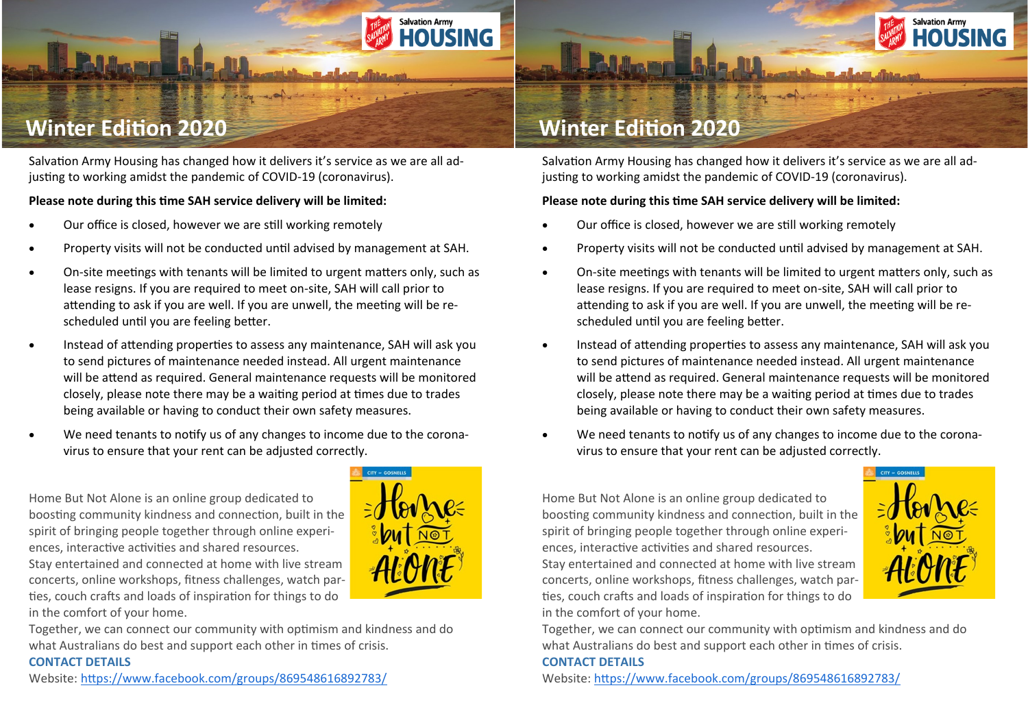

# **Winter Edition 2020**

Salvation Army Housing has changed how it delivers it's service as we are all adjusting to working amidst the pandemic of COVID-19 (coronavirus).

#### **Please note during this time SAH service delivery will be limited:**

- Our office is closed, however we are still working remotely
- Property visits will not be conducted until advised by management at SAH.
- On-site meetings with tenants will be limited to urgent matters only, such as lease resigns. If you are required to meet on-site, SAH will call prior to attending to ask if you are well. If you are unwell, the meeting will be rescheduled until you are feeling better.
- Instead of attending properties to assess any maintenance, SAH will ask you to send pictures of maintenance needed instead. All urgent maintenance will be attend as required. General maintenance requests will be monitored closely, please note there may be a waiting period at times due to trades being available or having to conduct their own safety measures.
- We need tenants to notify us of any changes to income due to the coronavirus to ensure that your rent can be adjusted correctly.

Home But Not Alone is an online group dedicated to boosting community kindness and connection, built in the spirit of bringing people together through online experiences, interactive activities and shared resources. Stay entertained and connected at home with live stream

concerts, online workshops, fitness challenges, watch parties, couch crafts and loads of inspiration for things to do in the comfort of your home.

Together, we can connect our community with optimism and kindness and do what Australians do best and support each other in times of crisis.

#### **CONTACT DETAILS**

Website: <https://www.facebook.com/groups/869548616892783/>



**Salvation Army** 

HOUSING

## **Winter Edition 2020**

Salvation Army Housing has changed how it delivers it's service as we are all adjusting to working amidst the pandemic of COVID-19 (coronavirus).

#### **Please note during this time SAH service delivery will be limited:**

- Our office is closed, however we are still working remotely
- Property visits will not be conducted until advised by management at SAH.
- On-site meetings with tenants will be limited to urgent matters only, such as lease resigns. If you are required to meet on-site, SAH will call prior to attending to ask if you are well. If you are unwell, the meeting will be rescheduled until you are feeling better.
- Instead of attending properties to assess any maintenance, SAH will ask you to send pictures of maintenance needed instead. All urgent maintenance will be attend as required. General maintenance requests will be monitored closely, please note there may be a waiting period at times due to trades being available or having to conduct their own safety measures.
- We need tenants to notify us of any changes to income due to the coronavirus to ensure that your rent can be adjusted correctly.

Home But Not Alone is an online group dedicated to boosting community kindness and connection, built in the spirit of bringing people together through online experiences, interactive activities and shared resources. Stay entertained and connected at home with live stream concerts, online workshops, fitness challenges, watch parties, couch crafts and loads of inspiration for things to do in the comfort of your home.



Together, we can connect our community with optimism and kindness and do what Australians do best and support each other in times of crisis.

#### **CONTACT DETAILS**

Website: <https://www.facebook.com/groups/869548616892783/>